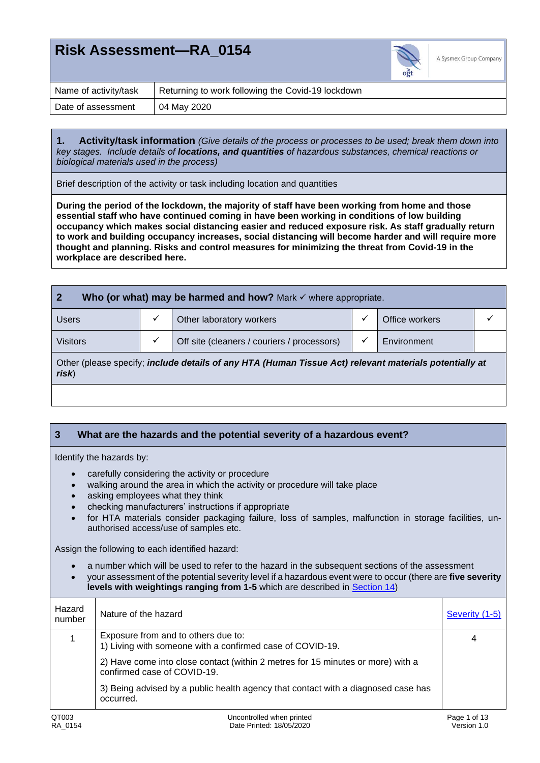

| Name of activity/task | Returning to work following the Covid-19 lockdown |
|-----------------------|---------------------------------------------------|
| Date of assessment    | 04 May 2020                                       |

**1. Activity/task information** *(Give details of the process or processes to be used; break them down into key stages. Include details of locations, and quantities of hazardous substances, chemical reactions or biological materials used in the process)*

Brief description of the activity or task including location and quantities

**During the period of the lockdown, the majority of staff have been working from home and those essential staff who have continued coming in have been working in conditions of low building occupancy which makes social distancing easier and reduced exposure risk. As staff gradually return to work and building occupancy increases, social distancing will become harder and will require more thought and planning. Risks and control measures for minimizing the threat from Covid-19 in the workplace are described here.**

| $\mathbf 2$<br>Who (or what) may be harmed and how? Mark $\checkmark$ where appropriate.                        |   |                                             |   |                |  |  |
|-----------------------------------------------------------------------------------------------------------------|---|---------------------------------------------|---|----------------|--|--|
| <b>Users</b>                                                                                                    |   | Other laboratory workers                    | ✓ | Office workers |  |  |
| <b>Visitors</b>                                                                                                 | ✓ | Off site (cleaners / couriers / processors) | ✓ | Environment    |  |  |
| Other (please specify; include details of any HTA (Human Tissue Act) relevant materials potentially at<br>risk) |   |                                             |   |                |  |  |
|                                                                                                                 |   |                                             |   |                |  |  |

#### <span id="page-0-0"></span>**3 What are the hazards and the potential severity of a hazardous event?**

Identify the hazards by:

- carefully considering the activity or procedure
- walking around the area in which the activity or procedure will take place
- asking employees what they think
- checking manufacturers' instructions if appropriate
- for HTA materials consider packaging failure, loss of samples, malfunction in storage facilities, unauthorised access/use of samples etc.

Assign the following to each identified hazard:

• a number which will be used to refer to the hazard in the subsequent sections of the assessment

• your assessment of the potential severity level if a hazardous event were to occur (there are **five severity levels with weightings ranging from 1-5** which are described in [Section](#page-10-0) 14)

| Hazard<br>number | Nature of the hazard                                                                                           | Severity (1-5) |
|------------------|----------------------------------------------------------------------------------------------------------------|----------------|
|                  | Exposure from and to others due to:<br>1) Living with someone with a confirmed case of COVID-19.               | 4              |
|                  | 2) Have come into close contact (within 2 metres for 15 minutes or more) with a<br>confirmed case of COVID-19. |                |
|                  | 3) Being advised by a public health agency that contact with a diagnosed case has<br>occurred.                 |                |
| QT003            | Uncontrolled when printed                                                                                      | Page 1 of 13   |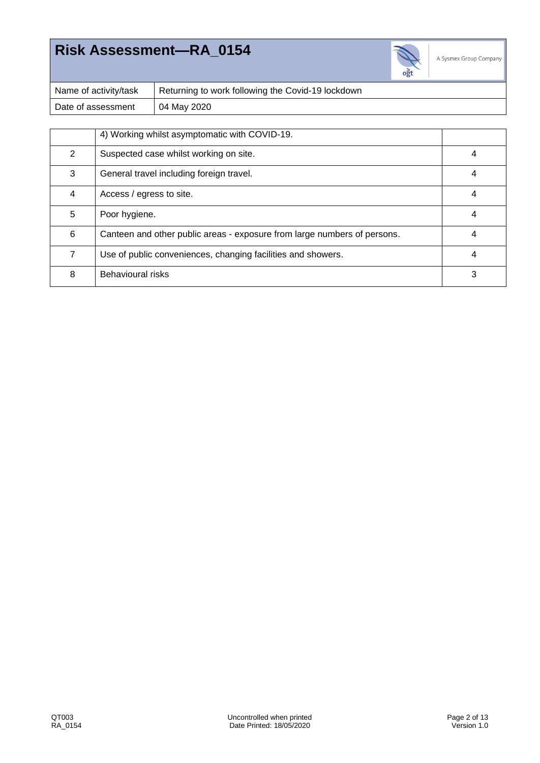

A Sysmex Group Company

| Name of activity/task | Returning to work following the Covid-19 lockdown |
|-----------------------|---------------------------------------------------|
| Date of assessment    | 04 May 2020                                       |

|   | 4) Working whilst asymptomatic with COVID-19.                            |   |
|---|--------------------------------------------------------------------------|---|
| 2 | Suspected case whilst working on site.                                   |   |
| 3 | General travel including foreign travel.                                 | 4 |
| 4 | Access / egress to site.                                                 | 4 |
| 5 | Poor hygiene.                                                            | 4 |
| 6 | Canteen and other public areas - exposure from large numbers of persons. |   |
| 7 | Use of public conveniences, changing facilities and showers.             | 4 |
| 8 | Behavioural risks                                                        | 3 |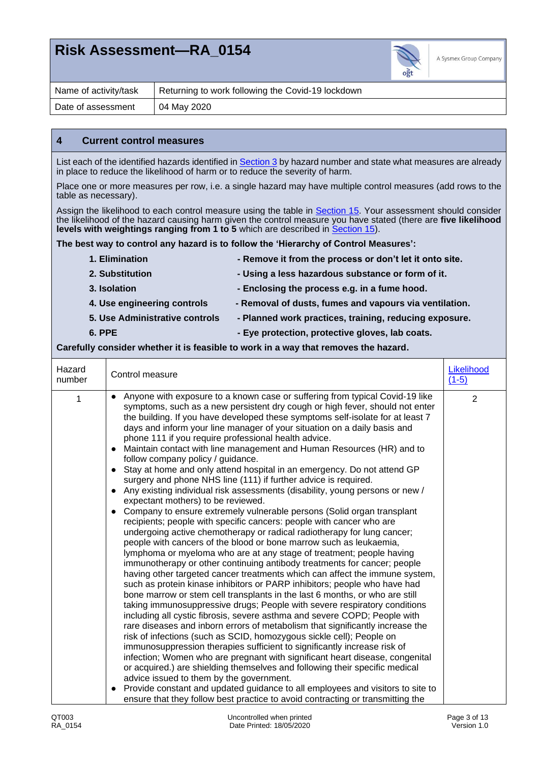

| Name of activity/task | Returning to work following the Covid-19 lockdown |
|-----------------------|---------------------------------------------------|
| Date of assessment    | 04 May 2020                                       |

#### <span id="page-2-0"></span>**4 Current control measures**

List each of the identified hazards identified i[n Section 3](#page-0-0) by hazard number and state what measures are already in place to reduce the likelihood of harm or to reduce the severity of harm.

Place one or more measures per row, i.e. a single hazard may have multiple control measures (add rows to the table as necessary).

Assign the likelihood to each control measure using the table in [Section 15.](#page-10-1) Your assessment should consider the likelihood of the hazard causing harm given the control measure you have stated (there are **five likelihood levels with weightings ranging from 1 to 5** which are described in [Section 15\)](#page-10-1).

**The best way to control any hazard is to follow the 'Hierarchy of Control Measures':**

| 1. Elimination                 | - Remove it from the process or don't let it onto site. |
|--------------------------------|---------------------------------------------------------|
| 2. Substitution                | - Using a less hazardous substance or form of it.       |
| 3. Isolation                   | - Enclosing the process e.g. in a fume hood.            |
| 4. Use engineering controls    | - Removal of dusts, fumes and vapours via ventilation.  |
| 5. Use Administrative controls | - Planned work practices, training, reducing exposure.  |
| 6. PPE                         | - Eye protection, protective gloves, lab coats.         |

#### **Carefully consider whether it is feasible to work in a way that removes the hazard.**

| Hazard<br>number | Control measure                                                                                                                                                                                                                                                                                                                                                                                                                                                                                                                                                                                                                                                                                                                                                                                                                                                                                                                                                                                                                                                                                                                                                                                                                                                                                                                                                                                                                                                                                                                                                                                                                                                                                                                                                                                                                                                                                                                                                                                                                                                                                                                                                                                                                                                                      | Likelihood<br>$(1-5)$ |
|------------------|--------------------------------------------------------------------------------------------------------------------------------------------------------------------------------------------------------------------------------------------------------------------------------------------------------------------------------------------------------------------------------------------------------------------------------------------------------------------------------------------------------------------------------------------------------------------------------------------------------------------------------------------------------------------------------------------------------------------------------------------------------------------------------------------------------------------------------------------------------------------------------------------------------------------------------------------------------------------------------------------------------------------------------------------------------------------------------------------------------------------------------------------------------------------------------------------------------------------------------------------------------------------------------------------------------------------------------------------------------------------------------------------------------------------------------------------------------------------------------------------------------------------------------------------------------------------------------------------------------------------------------------------------------------------------------------------------------------------------------------------------------------------------------------------------------------------------------------------------------------------------------------------------------------------------------------------------------------------------------------------------------------------------------------------------------------------------------------------------------------------------------------------------------------------------------------------------------------------------------------------------------------------------------------|-----------------------|
| 1                | Anyone with exposure to a known case or suffering from typical Covid-19 like<br>symptoms, such as a new persistent dry cough or high fever, should not enter<br>the building. If you have developed these symptoms self-isolate for at least 7<br>days and inform your line manager of your situation on a daily basis and<br>phone 111 if you require professional health advice.<br>Maintain contact with line management and Human Resources (HR) and to<br>$\bullet$<br>follow company policy / guidance.<br>• Stay at home and only attend hospital in an emergency. Do not attend GP<br>surgery and phone NHS line (111) if further advice is required.<br>• Any existing individual risk assessments (disability, young persons or new /<br>expectant mothers) to be reviewed.<br>• Company to ensure extremely vulnerable persons (Solid organ transplant<br>recipients; people with specific cancers: people with cancer who are<br>undergoing active chemotherapy or radical radiotherapy for lung cancer;<br>people with cancers of the blood or bone marrow such as leukaemia,<br>lymphoma or myeloma who are at any stage of treatment; people having<br>immunotherapy or other continuing antibody treatments for cancer; people<br>having other targeted cancer treatments which can affect the immune system,<br>such as protein kinase inhibitors or PARP inhibitors; people who have had<br>bone marrow or stem cell transplants in the last 6 months, or who are still<br>taking immunosuppressive drugs; People with severe respiratory conditions<br>including all cystic fibrosis, severe asthma and severe COPD; People with<br>rare diseases and inborn errors of metabolism that significantly increase the<br>risk of infections (such as SCID, homozygous sickle cell); People on<br>immunosuppression therapies sufficient to significantly increase risk of<br>infection; Women who are pregnant with significant heart disease, congenital<br>or acquired.) are shielding themselves and following their specific medical<br>advice issued to them by the government.<br>Provide constant and updated guidance to all employees and visitors to site to<br>$\bullet$<br>ensure that they follow best practice to avoid contracting or transmitting the | $\overline{2}$        |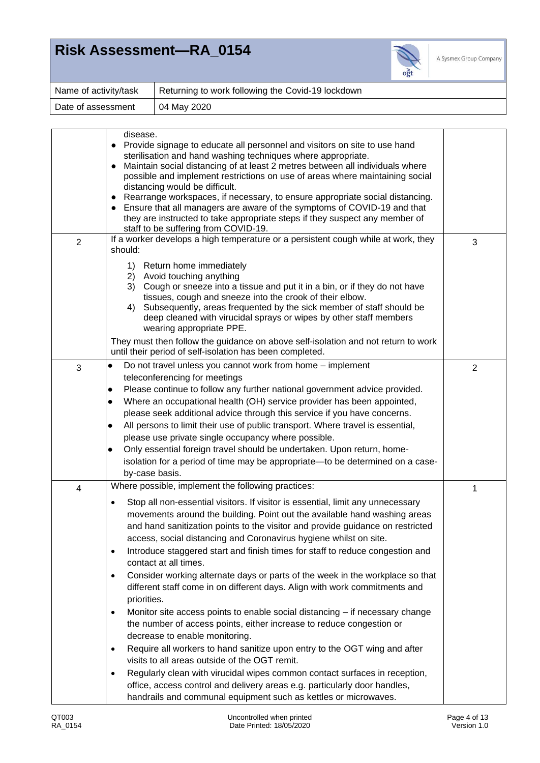

| Name of activity/task | Returning to work following the Covid-19 lockdown |
|-----------------------|---------------------------------------------------|
| Date of assessment    | 04 May 2020                                       |

|                | disease.<br>Provide signage to educate all personnel and visitors on site to use hand<br>$\bullet$<br>sterilisation and hand washing techniques where appropriate.<br>Maintain social distancing of at least 2 metres between all individuals where<br>$\bullet$<br>possible and implement restrictions on use of areas where maintaining social<br>distancing would be difficult.<br>Rearrange workspaces, if necessary, to ensure appropriate social distancing.<br>$\bullet$<br>Ensure that all managers are aware of the symptoms of COVID-19 and that<br>they are instructed to take appropriate steps if they suspect any member of<br>staff to be suffering from COVID-19.                                                                                                                                                                                                                                                                                                                                                                                                                                                                                                                                          |                |
|----------------|----------------------------------------------------------------------------------------------------------------------------------------------------------------------------------------------------------------------------------------------------------------------------------------------------------------------------------------------------------------------------------------------------------------------------------------------------------------------------------------------------------------------------------------------------------------------------------------------------------------------------------------------------------------------------------------------------------------------------------------------------------------------------------------------------------------------------------------------------------------------------------------------------------------------------------------------------------------------------------------------------------------------------------------------------------------------------------------------------------------------------------------------------------------------------------------------------------------------------|----------------|
| $\overline{2}$ | If a worker develops a high temperature or a persistent cough while at work, they<br>should:                                                                                                                                                                                                                                                                                                                                                                                                                                                                                                                                                                                                                                                                                                                                                                                                                                                                                                                                                                                                                                                                                                                               | 3              |
|                | 1) Return home immediately<br>2) Avoid touching anything<br>3) Cough or sneeze into a tissue and put it in a bin, or if they do not have<br>tissues, cough and sneeze into the crook of their elbow.<br>Subsequently, areas frequented by the sick member of staff should be<br>4)<br>deep cleaned with virucidal sprays or wipes by other staff members<br>wearing appropriate PPE.                                                                                                                                                                                                                                                                                                                                                                                                                                                                                                                                                                                                                                                                                                                                                                                                                                       |                |
|                | They must then follow the guidance on above self-isolation and not return to work<br>until their period of self-isolation has been completed.                                                                                                                                                                                                                                                                                                                                                                                                                                                                                                                                                                                                                                                                                                                                                                                                                                                                                                                                                                                                                                                                              |                |
| 3              | Do not travel unless you cannot work from home - implement<br>$\bullet$<br>teleconferencing for meetings<br>Please continue to follow any further national government advice provided.<br>$\bullet$<br>Where an occupational health (OH) service provider has been appointed,<br>$\bullet$<br>please seek additional advice through this service if you have concerns.<br>All persons to limit their use of public transport. Where travel is essential,<br>$\bullet$<br>please use private single occupancy where possible.<br>Only essential foreign travel should be undertaken. Upon return, home-<br>$\bullet$<br>isolation for a period of time may be appropriate-to be determined on a case-<br>by-case basis.                                                                                                                                                                                                                                                                                                                                                                                                                                                                                                     | $\overline{2}$ |
| 4              | Where possible, implement the following practices:<br>Stop all non-essential visitors. If visitor is essential, limit any unnecessary<br>٠<br>movements around the building. Point out the available hand washing areas<br>and hand sanitization points to the visitor and provide guidance on restricted<br>access, social distancing and Coronavirus hygiene whilst on site.<br>Introduce staggered start and finish times for staff to reduce congestion and<br>$\bullet$<br>contact at all times.<br>Consider working alternate days or parts of the week in the workplace so that<br>$\bullet$<br>different staff come in on different days. Align with work commitments and<br>priorities.<br>Monitor site access points to enable social distancing - if necessary change<br>$\bullet$<br>the number of access points, either increase to reduce congestion or<br>decrease to enable monitoring.<br>Require all workers to hand sanitize upon entry to the OGT wing and after<br>$\bullet$<br>visits to all areas outside of the OGT remit.<br>Regularly clean with virucidal wipes common contact surfaces in reception,<br>$\bullet$<br>office, access control and delivery areas e.g. particularly door handles, | 1              |
|                | handrails and communal equipment such as kettles or microwaves.                                                                                                                                                                                                                                                                                                                                                                                                                                                                                                                                                                                                                                                                                                                                                                                                                                                                                                                                                                                                                                                                                                                                                            |                |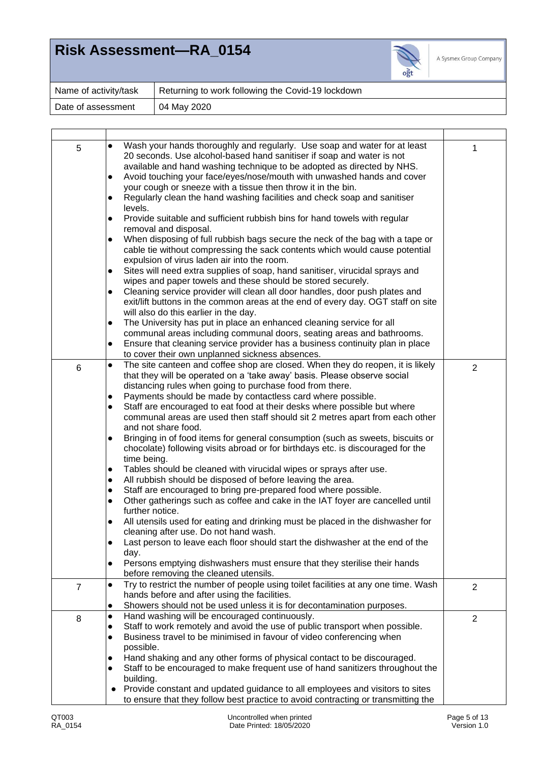

| Name of activity/task | Returning to work following the Covid-19 lockdown |
|-----------------------|---------------------------------------------------|
| Date of assessment    | 04 May 2020                                       |

| Wash your hands thoroughly and regularly. Use soap and water for at least<br>$\bullet$<br>5<br>1<br>20 seconds. Use alcohol-based hand sanitiser if soap and water is not<br>available and hand washing technique to be adopted as directed by NHS.<br>Avoid touching your face/eyes/nose/mouth with unwashed hands and cover<br>$\bullet$<br>your cough or sneeze with a tissue then throw it in the bin.<br>Regularly clean the hand washing facilities and check soap and sanitiser<br>levels.<br>Provide suitable and sufficient rubbish bins for hand towels with regular<br>removal and disposal.<br>When disposing of full rubbish bags secure the neck of the bag with a tape or<br>$\bullet$<br>cable tie without compressing the sack contents which would cause potential<br>expulsion of virus laden air into the room.<br>Sites will need extra supplies of soap, hand sanitiser, virucidal sprays and<br>$\bullet$<br>wipes and paper towels and these should be stored securely.<br>Cleaning service provider will clean all door handles, door push plates and<br>$\bullet$<br>exit/lift buttons in the common areas at the end of every day. OGT staff on site<br>will also do this earlier in the day.<br>The University has put in place an enhanced cleaning service for all<br>$\bullet$<br>communal areas including communal doors, seating areas and bathrooms.<br>Ensure that cleaning service provider has a business continuity plan in place<br>to cover their own unplanned sickness absences.<br>The site canteen and coffee shop are closed. When they do reopen, it is likely<br>$\bullet$<br>$6\phantom{1}$<br>$\overline{2}$<br>that they will be operated on a 'take away' basis. Please observe social<br>distancing rules when going to purchase food from there.<br>Payments should be made by contactless card where possible.<br>$\bullet$<br>Staff are encouraged to eat food at their desks where possible but where<br>$\bullet$<br>communal areas are used then staff should sit 2 metres apart from each other<br>and not share food.<br>Bringing in of food items for general consumption (such as sweets, biscuits or<br>$\bullet$<br>chocolate) following visits abroad or for birthdays etc. is discouraged for the<br>time being.<br>Tables should be cleaned with virucidal wipes or sprays after use.<br>$\bullet$<br>All rubbish should be disposed of before leaving the area.<br>$\bullet$<br>Staff are encouraged to bring pre-prepared food where possible.<br>$\bullet$<br>Other gatherings such as coffee and cake in the IAT foyer are cancelled until<br>$\bullet$<br>further notice.<br>All utensils used for eating and drinking must be placed in the dishwasher for<br>cleaning after use. Do not hand wash.<br>Last person to leave each floor should start the dishwasher at the end of the<br>day.<br>Persons emptying dishwashers must ensure that they sterilise their hands<br>$\bullet$<br>before removing the cleaned utensils.<br>Try to restrict the number of people using toilet facilities at any one time. Wash<br>$\bullet$<br>$\overline{7}$<br>$\overline{2}$<br>hands before and after using the facilities.<br>Showers should not be used unless it is for decontamination purposes.<br>Hand washing will be encouraged continuously.<br>$\bullet$<br>$\overline{2}$<br>8<br>Staff to work remotely and avoid the use of public transport when possible.<br>$\bullet$<br>Business travel to be minimised in favour of video conferencing when<br>$\bullet$<br>possible.<br>Hand shaking and any other forms of physical contact to be discouraged.<br>$\bullet$<br>Staff to be encouraged to make frequent use of hand sanitizers throughout the<br>$\bullet$<br>building.<br>Provide constant and updated guidance to all employees and visitors to sites<br>$\bullet$<br>to ensure that they follow best practice to avoid contracting or transmitting the |  |  |
|-------------------------------------------------------------------------------------------------------------------------------------------------------------------------------------------------------------------------------------------------------------------------------------------------------------------------------------------------------------------------------------------------------------------------------------------------------------------------------------------------------------------------------------------------------------------------------------------------------------------------------------------------------------------------------------------------------------------------------------------------------------------------------------------------------------------------------------------------------------------------------------------------------------------------------------------------------------------------------------------------------------------------------------------------------------------------------------------------------------------------------------------------------------------------------------------------------------------------------------------------------------------------------------------------------------------------------------------------------------------------------------------------------------------------------------------------------------------------------------------------------------------------------------------------------------------------------------------------------------------------------------------------------------------------------------------------------------------------------------------------------------------------------------------------------------------------------------------------------------------------------------------------------------------------------------------------------------------------------------------------------------------------------------------------------------------------------------------------------------------------------------------------------------------------------------------------------------------------------------------------------------------------------------------------------------------------------------------------------------------------------------------------------------------------------------------------------------------------------------------------------------------------------------------------------------------------------------------------------------------------------------------------------------------------------------------------------------------------------------------------------------------------------------------------------------------------------------------------------------------------------------------------------------------------------------------------------------------------------------------------------------------------------------------------------------------------------------------------------------------------------------------------------------------------------------------------------------------------------------------------------------------------------------------------------------------------------------------------------------------------------------------------------------------------------------------------------------------------------------------------------------------------------------------------------------------------------------------------------------------------------------------------------------------------------------------------------------------------------------------------------------------------------------------------------------------------------------------------------------------------------------------------------------------------------------------------|--|--|
|                                                                                                                                                                                                                                                                                                                                                                                                                                                                                                                                                                                                                                                                                                                                                                                                                                                                                                                                                                                                                                                                                                                                                                                                                                                                                                                                                                                                                                                                                                                                                                                                                                                                                                                                                                                                                                                                                                                                                                                                                                                                                                                                                                                                                                                                                                                                                                                                                                                                                                                                                                                                                                                                                                                                                                                                                                                                                                                                                                                                                                                                                                                                                                                                                                                                                                                                                                                                                                                                                                                                                                                                                                                                                                                                                                                                                                                                                                                                                 |  |  |
|                                                                                                                                                                                                                                                                                                                                                                                                                                                                                                                                                                                                                                                                                                                                                                                                                                                                                                                                                                                                                                                                                                                                                                                                                                                                                                                                                                                                                                                                                                                                                                                                                                                                                                                                                                                                                                                                                                                                                                                                                                                                                                                                                                                                                                                                                                                                                                                                                                                                                                                                                                                                                                                                                                                                                                                                                                                                                                                                                                                                                                                                                                                                                                                                                                                                                                                                                                                                                                                                                                                                                                                                                                                                                                                                                                                                                                                                                                                                                 |  |  |
|                                                                                                                                                                                                                                                                                                                                                                                                                                                                                                                                                                                                                                                                                                                                                                                                                                                                                                                                                                                                                                                                                                                                                                                                                                                                                                                                                                                                                                                                                                                                                                                                                                                                                                                                                                                                                                                                                                                                                                                                                                                                                                                                                                                                                                                                                                                                                                                                                                                                                                                                                                                                                                                                                                                                                                                                                                                                                                                                                                                                                                                                                                                                                                                                                                                                                                                                                                                                                                                                                                                                                                                                                                                                                                                                                                                                                                                                                                                                                 |  |  |
|                                                                                                                                                                                                                                                                                                                                                                                                                                                                                                                                                                                                                                                                                                                                                                                                                                                                                                                                                                                                                                                                                                                                                                                                                                                                                                                                                                                                                                                                                                                                                                                                                                                                                                                                                                                                                                                                                                                                                                                                                                                                                                                                                                                                                                                                                                                                                                                                                                                                                                                                                                                                                                                                                                                                                                                                                                                                                                                                                                                                                                                                                                                                                                                                                                                                                                                                                                                                                                                                                                                                                                                                                                                                                                                                                                                                                                                                                                                                                 |  |  |
|                                                                                                                                                                                                                                                                                                                                                                                                                                                                                                                                                                                                                                                                                                                                                                                                                                                                                                                                                                                                                                                                                                                                                                                                                                                                                                                                                                                                                                                                                                                                                                                                                                                                                                                                                                                                                                                                                                                                                                                                                                                                                                                                                                                                                                                                                                                                                                                                                                                                                                                                                                                                                                                                                                                                                                                                                                                                                                                                                                                                                                                                                                                                                                                                                                                                                                                                                                                                                                                                                                                                                                                                                                                                                                                                                                                                                                                                                                                                                 |  |  |
|                                                                                                                                                                                                                                                                                                                                                                                                                                                                                                                                                                                                                                                                                                                                                                                                                                                                                                                                                                                                                                                                                                                                                                                                                                                                                                                                                                                                                                                                                                                                                                                                                                                                                                                                                                                                                                                                                                                                                                                                                                                                                                                                                                                                                                                                                                                                                                                                                                                                                                                                                                                                                                                                                                                                                                                                                                                                                                                                                                                                                                                                                                                                                                                                                                                                                                                                                                                                                                                                                                                                                                                                                                                                                                                                                                                                                                                                                                                                                 |  |  |
|                                                                                                                                                                                                                                                                                                                                                                                                                                                                                                                                                                                                                                                                                                                                                                                                                                                                                                                                                                                                                                                                                                                                                                                                                                                                                                                                                                                                                                                                                                                                                                                                                                                                                                                                                                                                                                                                                                                                                                                                                                                                                                                                                                                                                                                                                                                                                                                                                                                                                                                                                                                                                                                                                                                                                                                                                                                                                                                                                                                                                                                                                                                                                                                                                                                                                                                                                                                                                                                                                                                                                                                                                                                                                                                                                                                                                                                                                                                                                 |  |  |
|                                                                                                                                                                                                                                                                                                                                                                                                                                                                                                                                                                                                                                                                                                                                                                                                                                                                                                                                                                                                                                                                                                                                                                                                                                                                                                                                                                                                                                                                                                                                                                                                                                                                                                                                                                                                                                                                                                                                                                                                                                                                                                                                                                                                                                                                                                                                                                                                                                                                                                                                                                                                                                                                                                                                                                                                                                                                                                                                                                                                                                                                                                                                                                                                                                                                                                                                                                                                                                                                                                                                                                                                                                                                                                                                                                                                                                                                                                                                                 |  |  |
|                                                                                                                                                                                                                                                                                                                                                                                                                                                                                                                                                                                                                                                                                                                                                                                                                                                                                                                                                                                                                                                                                                                                                                                                                                                                                                                                                                                                                                                                                                                                                                                                                                                                                                                                                                                                                                                                                                                                                                                                                                                                                                                                                                                                                                                                                                                                                                                                                                                                                                                                                                                                                                                                                                                                                                                                                                                                                                                                                                                                                                                                                                                                                                                                                                                                                                                                                                                                                                                                                                                                                                                                                                                                                                                                                                                                                                                                                                                                                 |  |  |
|                                                                                                                                                                                                                                                                                                                                                                                                                                                                                                                                                                                                                                                                                                                                                                                                                                                                                                                                                                                                                                                                                                                                                                                                                                                                                                                                                                                                                                                                                                                                                                                                                                                                                                                                                                                                                                                                                                                                                                                                                                                                                                                                                                                                                                                                                                                                                                                                                                                                                                                                                                                                                                                                                                                                                                                                                                                                                                                                                                                                                                                                                                                                                                                                                                                                                                                                                                                                                                                                                                                                                                                                                                                                                                                                                                                                                                                                                                                                                 |  |  |
|                                                                                                                                                                                                                                                                                                                                                                                                                                                                                                                                                                                                                                                                                                                                                                                                                                                                                                                                                                                                                                                                                                                                                                                                                                                                                                                                                                                                                                                                                                                                                                                                                                                                                                                                                                                                                                                                                                                                                                                                                                                                                                                                                                                                                                                                                                                                                                                                                                                                                                                                                                                                                                                                                                                                                                                                                                                                                                                                                                                                                                                                                                                                                                                                                                                                                                                                                                                                                                                                                                                                                                                                                                                                                                                                                                                                                                                                                                                                                 |  |  |
|                                                                                                                                                                                                                                                                                                                                                                                                                                                                                                                                                                                                                                                                                                                                                                                                                                                                                                                                                                                                                                                                                                                                                                                                                                                                                                                                                                                                                                                                                                                                                                                                                                                                                                                                                                                                                                                                                                                                                                                                                                                                                                                                                                                                                                                                                                                                                                                                                                                                                                                                                                                                                                                                                                                                                                                                                                                                                                                                                                                                                                                                                                                                                                                                                                                                                                                                                                                                                                                                                                                                                                                                                                                                                                                                                                                                                                                                                                                                                 |  |  |
|                                                                                                                                                                                                                                                                                                                                                                                                                                                                                                                                                                                                                                                                                                                                                                                                                                                                                                                                                                                                                                                                                                                                                                                                                                                                                                                                                                                                                                                                                                                                                                                                                                                                                                                                                                                                                                                                                                                                                                                                                                                                                                                                                                                                                                                                                                                                                                                                                                                                                                                                                                                                                                                                                                                                                                                                                                                                                                                                                                                                                                                                                                                                                                                                                                                                                                                                                                                                                                                                                                                                                                                                                                                                                                                                                                                                                                                                                                                                                 |  |  |
|                                                                                                                                                                                                                                                                                                                                                                                                                                                                                                                                                                                                                                                                                                                                                                                                                                                                                                                                                                                                                                                                                                                                                                                                                                                                                                                                                                                                                                                                                                                                                                                                                                                                                                                                                                                                                                                                                                                                                                                                                                                                                                                                                                                                                                                                                                                                                                                                                                                                                                                                                                                                                                                                                                                                                                                                                                                                                                                                                                                                                                                                                                                                                                                                                                                                                                                                                                                                                                                                                                                                                                                                                                                                                                                                                                                                                                                                                                                                                 |  |  |
|                                                                                                                                                                                                                                                                                                                                                                                                                                                                                                                                                                                                                                                                                                                                                                                                                                                                                                                                                                                                                                                                                                                                                                                                                                                                                                                                                                                                                                                                                                                                                                                                                                                                                                                                                                                                                                                                                                                                                                                                                                                                                                                                                                                                                                                                                                                                                                                                                                                                                                                                                                                                                                                                                                                                                                                                                                                                                                                                                                                                                                                                                                                                                                                                                                                                                                                                                                                                                                                                                                                                                                                                                                                                                                                                                                                                                                                                                                                                                 |  |  |
|                                                                                                                                                                                                                                                                                                                                                                                                                                                                                                                                                                                                                                                                                                                                                                                                                                                                                                                                                                                                                                                                                                                                                                                                                                                                                                                                                                                                                                                                                                                                                                                                                                                                                                                                                                                                                                                                                                                                                                                                                                                                                                                                                                                                                                                                                                                                                                                                                                                                                                                                                                                                                                                                                                                                                                                                                                                                                                                                                                                                                                                                                                                                                                                                                                                                                                                                                                                                                                                                                                                                                                                                                                                                                                                                                                                                                                                                                                                                                 |  |  |
|                                                                                                                                                                                                                                                                                                                                                                                                                                                                                                                                                                                                                                                                                                                                                                                                                                                                                                                                                                                                                                                                                                                                                                                                                                                                                                                                                                                                                                                                                                                                                                                                                                                                                                                                                                                                                                                                                                                                                                                                                                                                                                                                                                                                                                                                                                                                                                                                                                                                                                                                                                                                                                                                                                                                                                                                                                                                                                                                                                                                                                                                                                                                                                                                                                                                                                                                                                                                                                                                                                                                                                                                                                                                                                                                                                                                                                                                                                                                                 |  |  |
|                                                                                                                                                                                                                                                                                                                                                                                                                                                                                                                                                                                                                                                                                                                                                                                                                                                                                                                                                                                                                                                                                                                                                                                                                                                                                                                                                                                                                                                                                                                                                                                                                                                                                                                                                                                                                                                                                                                                                                                                                                                                                                                                                                                                                                                                                                                                                                                                                                                                                                                                                                                                                                                                                                                                                                                                                                                                                                                                                                                                                                                                                                                                                                                                                                                                                                                                                                                                                                                                                                                                                                                                                                                                                                                                                                                                                                                                                                                                                 |  |  |
|                                                                                                                                                                                                                                                                                                                                                                                                                                                                                                                                                                                                                                                                                                                                                                                                                                                                                                                                                                                                                                                                                                                                                                                                                                                                                                                                                                                                                                                                                                                                                                                                                                                                                                                                                                                                                                                                                                                                                                                                                                                                                                                                                                                                                                                                                                                                                                                                                                                                                                                                                                                                                                                                                                                                                                                                                                                                                                                                                                                                                                                                                                                                                                                                                                                                                                                                                                                                                                                                                                                                                                                                                                                                                                                                                                                                                                                                                                                                                 |  |  |
|                                                                                                                                                                                                                                                                                                                                                                                                                                                                                                                                                                                                                                                                                                                                                                                                                                                                                                                                                                                                                                                                                                                                                                                                                                                                                                                                                                                                                                                                                                                                                                                                                                                                                                                                                                                                                                                                                                                                                                                                                                                                                                                                                                                                                                                                                                                                                                                                                                                                                                                                                                                                                                                                                                                                                                                                                                                                                                                                                                                                                                                                                                                                                                                                                                                                                                                                                                                                                                                                                                                                                                                                                                                                                                                                                                                                                                                                                                                                                 |  |  |
|                                                                                                                                                                                                                                                                                                                                                                                                                                                                                                                                                                                                                                                                                                                                                                                                                                                                                                                                                                                                                                                                                                                                                                                                                                                                                                                                                                                                                                                                                                                                                                                                                                                                                                                                                                                                                                                                                                                                                                                                                                                                                                                                                                                                                                                                                                                                                                                                                                                                                                                                                                                                                                                                                                                                                                                                                                                                                                                                                                                                                                                                                                                                                                                                                                                                                                                                                                                                                                                                                                                                                                                                                                                                                                                                                                                                                                                                                                                                                 |  |  |
|                                                                                                                                                                                                                                                                                                                                                                                                                                                                                                                                                                                                                                                                                                                                                                                                                                                                                                                                                                                                                                                                                                                                                                                                                                                                                                                                                                                                                                                                                                                                                                                                                                                                                                                                                                                                                                                                                                                                                                                                                                                                                                                                                                                                                                                                                                                                                                                                                                                                                                                                                                                                                                                                                                                                                                                                                                                                                                                                                                                                                                                                                                                                                                                                                                                                                                                                                                                                                                                                                                                                                                                                                                                                                                                                                                                                                                                                                                                                                 |  |  |
|                                                                                                                                                                                                                                                                                                                                                                                                                                                                                                                                                                                                                                                                                                                                                                                                                                                                                                                                                                                                                                                                                                                                                                                                                                                                                                                                                                                                                                                                                                                                                                                                                                                                                                                                                                                                                                                                                                                                                                                                                                                                                                                                                                                                                                                                                                                                                                                                                                                                                                                                                                                                                                                                                                                                                                                                                                                                                                                                                                                                                                                                                                                                                                                                                                                                                                                                                                                                                                                                                                                                                                                                                                                                                                                                                                                                                                                                                                                                                 |  |  |
|                                                                                                                                                                                                                                                                                                                                                                                                                                                                                                                                                                                                                                                                                                                                                                                                                                                                                                                                                                                                                                                                                                                                                                                                                                                                                                                                                                                                                                                                                                                                                                                                                                                                                                                                                                                                                                                                                                                                                                                                                                                                                                                                                                                                                                                                                                                                                                                                                                                                                                                                                                                                                                                                                                                                                                                                                                                                                                                                                                                                                                                                                                                                                                                                                                                                                                                                                                                                                                                                                                                                                                                                                                                                                                                                                                                                                                                                                                                                                 |  |  |
|                                                                                                                                                                                                                                                                                                                                                                                                                                                                                                                                                                                                                                                                                                                                                                                                                                                                                                                                                                                                                                                                                                                                                                                                                                                                                                                                                                                                                                                                                                                                                                                                                                                                                                                                                                                                                                                                                                                                                                                                                                                                                                                                                                                                                                                                                                                                                                                                                                                                                                                                                                                                                                                                                                                                                                                                                                                                                                                                                                                                                                                                                                                                                                                                                                                                                                                                                                                                                                                                                                                                                                                                                                                                                                                                                                                                                                                                                                                                                 |  |  |
|                                                                                                                                                                                                                                                                                                                                                                                                                                                                                                                                                                                                                                                                                                                                                                                                                                                                                                                                                                                                                                                                                                                                                                                                                                                                                                                                                                                                                                                                                                                                                                                                                                                                                                                                                                                                                                                                                                                                                                                                                                                                                                                                                                                                                                                                                                                                                                                                                                                                                                                                                                                                                                                                                                                                                                                                                                                                                                                                                                                                                                                                                                                                                                                                                                                                                                                                                                                                                                                                                                                                                                                                                                                                                                                                                                                                                                                                                                                                                 |  |  |
|                                                                                                                                                                                                                                                                                                                                                                                                                                                                                                                                                                                                                                                                                                                                                                                                                                                                                                                                                                                                                                                                                                                                                                                                                                                                                                                                                                                                                                                                                                                                                                                                                                                                                                                                                                                                                                                                                                                                                                                                                                                                                                                                                                                                                                                                                                                                                                                                                                                                                                                                                                                                                                                                                                                                                                                                                                                                                                                                                                                                                                                                                                                                                                                                                                                                                                                                                                                                                                                                                                                                                                                                                                                                                                                                                                                                                                                                                                                                                 |  |  |
|                                                                                                                                                                                                                                                                                                                                                                                                                                                                                                                                                                                                                                                                                                                                                                                                                                                                                                                                                                                                                                                                                                                                                                                                                                                                                                                                                                                                                                                                                                                                                                                                                                                                                                                                                                                                                                                                                                                                                                                                                                                                                                                                                                                                                                                                                                                                                                                                                                                                                                                                                                                                                                                                                                                                                                                                                                                                                                                                                                                                                                                                                                                                                                                                                                                                                                                                                                                                                                                                                                                                                                                                                                                                                                                                                                                                                                                                                                                                                 |  |  |
|                                                                                                                                                                                                                                                                                                                                                                                                                                                                                                                                                                                                                                                                                                                                                                                                                                                                                                                                                                                                                                                                                                                                                                                                                                                                                                                                                                                                                                                                                                                                                                                                                                                                                                                                                                                                                                                                                                                                                                                                                                                                                                                                                                                                                                                                                                                                                                                                                                                                                                                                                                                                                                                                                                                                                                                                                                                                                                                                                                                                                                                                                                                                                                                                                                                                                                                                                                                                                                                                                                                                                                                                                                                                                                                                                                                                                                                                                                                                                 |  |  |
|                                                                                                                                                                                                                                                                                                                                                                                                                                                                                                                                                                                                                                                                                                                                                                                                                                                                                                                                                                                                                                                                                                                                                                                                                                                                                                                                                                                                                                                                                                                                                                                                                                                                                                                                                                                                                                                                                                                                                                                                                                                                                                                                                                                                                                                                                                                                                                                                                                                                                                                                                                                                                                                                                                                                                                                                                                                                                                                                                                                                                                                                                                                                                                                                                                                                                                                                                                                                                                                                                                                                                                                                                                                                                                                                                                                                                                                                                                                                                 |  |  |
|                                                                                                                                                                                                                                                                                                                                                                                                                                                                                                                                                                                                                                                                                                                                                                                                                                                                                                                                                                                                                                                                                                                                                                                                                                                                                                                                                                                                                                                                                                                                                                                                                                                                                                                                                                                                                                                                                                                                                                                                                                                                                                                                                                                                                                                                                                                                                                                                                                                                                                                                                                                                                                                                                                                                                                                                                                                                                                                                                                                                                                                                                                                                                                                                                                                                                                                                                                                                                                                                                                                                                                                                                                                                                                                                                                                                                                                                                                                                                 |  |  |
|                                                                                                                                                                                                                                                                                                                                                                                                                                                                                                                                                                                                                                                                                                                                                                                                                                                                                                                                                                                                                                                                                                                                                                                                                                                                                                                                                                                                                                                                                                                                                                                                                                                                                                                                                                                                                                                                                                                                                                                                                                                                                                                                                                                                                                                                                                                                                                                                                                                                                                                                                                                                                                                                                                                                                                                                                                                                                                                                                                                                                                                                                                                                                                                                                                                                                                                                                                                                                                                                                                                                                                                                                                                                                                                                                                                                                                                                                                                                                 |  |  |
|                                                                                                                                                                                                                                                                                                                                                                                                                                                                                                                                                                                                                                                                                                                                                                                                                                                                                                                                                                                                                                                                                                                                                                                                                                                                                                                                                                                                                                                                                                                                                                                                                                                                                                                                                                                                                                                                                                                                                                                                                                                                                                                                                                                                                                                                                                                                                                                                                                                                                                                                                                                                                                                                                                                                                                                                                                                                                                                                                                                                                                                                                                                                                                                                                                                                                                                                                                                                                                                                                                                                                                                                                                                                                                                                                                                                                                                                                                                                                 |  |  |
|                                                                                                                                                                                                                                                                                                                                                                                                                                                                                                                                                                                                                                                                                                                                                                                                                                                                                                                                                                                                                                                                                                                                                                                                                                                                                                                                                                                                                                                                                                                                                                                                                                                                                                                                                                                                                                                                                                                                                                                                                                                                                                                                                                                                                                                                                                                                                                                                                                                                                                                                                                                                                                                                                                                                                                                                                                                                                                                                                                                                                                                                                                                                                                                                                                                                                                                                                                                                                                                                                                                                                                                                                                                                                                                                                                                                                                                                                                                                                 |  |  |
|                                                                                                                                                                                                                                                                                                                                                                                                                                                                                                                                                                                                                                                                                                                                                                                                                                                                                                                                                                                                                                                                                                                                                                                                                                                                                                                                                                                                                                                                                                                                                                                                                                                                                                                                                                                                                                                                                                                                                                                                                                                                                                                                                                                                                                                                                                                                                                                                                                                                                                                                                                                                                                                                                                                                                                                                                                                                                                                                                                                                                                                                                                                                                                                                                                                                                                                                                                                                                                                                                                                                                                                                                                                                                                                                                                                                                                                                                                                                                 |  |  |
|                                                                                                                                                                                                                                                                                                                                                                                                                                                                                                                                                                                                                                                                                                                                                                                                                                                                                                                                                                                                                                                                                                                                                                                                                                                                                                                                                                                                                                                                                                                                                                                                                                                                                                                                                                                                                                                                                                                                                                                                                                                                                                                                                                                                                                                                                                                                                                                                                                                                                                                                                                                                                                                                                                                                                                                                                                                                                                                                                                                                                                                                                                                                                                                                                                                                                                                                                                                                                                                                                                                                                                                                                                                                                                                                                                                                                                                                                                                                                 |  |  |
|                                                                                                                                                                                                                                                                                                                                                                                                                                                                                                                                                                                                                                                                                                                                                                                                                                                                                                                                                                                                                                                                                                                                                                                                                                                                                                                                                                                                                                                                                                                                                                                                                                                                                                                                                                                                                                                                                                                                                                                                                                                                                                                                                                                                                                                                                                                                                                                                                                                                                                                                                                                                                                                                                                                                                                                                                                                                                                                                                                                                                                                                                                                                                                                                                                                                                                                                                                                                                                                                                                                                                                                                                                                                                                                                                                                                                                                                                                                                                 |  |  |
|                                                                                                                                                                                                                                                                                                                                                                                                                                                                                                                                                                                                                                                                                                                                                                                                                                                                                                                                                                                                                                                                                                                                                                                                                                                                                                                                                                                                                                                                                                                                                                                                                                                                                                                                                                                                                                                                                                                                                                                                                                                                                                                                                                                                                                                                                                                                                                                                                                                                                                                                                                                                                                                                                                                                                                                                                                                                                                                                                                                                                                                                                                                                                                                                                                                                                                                                                                                                                                                                                                                                                                                                                                                                                                                                                                                                                                                                                                                                                 |  |  |
|                                                                                                                                                                                                                                                                                                                                                                                                                                                                                                                                                                                                                                                                                                                                                                                                                                                                                                                                                                                                                                                                                                                                                                                                                                                                                                                                                                                                                                                                                                                                                                                                                                                                                                                                                                                                                                                                                                                                                                                                                                                                                                                                                                                                                                                                                                                                                                                                                                                                                                                                                                                                                                                                                                                                                                                                                                                                                                                                                                                                                                                                                                                                                                                                                                                                                                                                                                                                                                                                                                                                                                                                                                                                                                                                                                                                                                                                                                                                                 |  |  |
|                                                                                                                                                                                                                                                                                                                                                                                                                                                                                                                                                                                                                                                                                                                                                                                                                                                                                                                                                                                                                                                                                                                                                                                                                                                                                                                                                                                                                                                                                                                                                                                                                                                                                                                                                                                                                                                                                                                                                                                                                                                                                                                                                                                                                                                                                                                                                                                                                                                                                                                                                                                                                                                                                                                                                                                                                                                                                                                                                                                                                                                                                                                                                                                                                                                                                                                                                                                                                                                                                                                                                                                                                                                                                                                                                                                                                                                                                                                                                 |  |  |
|                                                                                                                                                                                                                                                                                                                                                                                                                                                                                                                                                                                                                                                                                                                                                                                                                                                                                                                                                                                                                                                                                                                                                                                                                                                                                                                                                                                                                                                                                                                                                                                                                                                                                                                                                                                                                                                                                                                                                                                                                                                                                                                                                                                                                                                                                                                                                                                                                                                                                                                                                                                                                                                                                                                                                                                                                                                                                                                                                                                                                                                                                                                                                                                                                                                                                                                                                                                                                                                                                                                                                                                                                                                                                                                                                                                                                                                                                                                                                 |  |  |
|                                                                                                                                                                                                                                                                                                                                                                                                                                                                                                                                                                                                                                                                                                                                                                                                                                                                                                                                                                                                                                                                                                                                                                                                                                                                                                                                                                                                                                                                                                                                                                                                                                                                                                                                                                                                                                                                                                                                                                                                                                                                                                                                                                                                                                                                                                                                                                                                                                                                                                                                                                                                                                                                                                                                                                                                                                                                                                                                                                                                                                                                                                                                                                                                                                                                                                                                                                                                                                                                                                                                                                                                                                                                                                                                                                                                                                                                                                                                                 |  |  |
|                                                                                                                                                                                                                                                                                                                                                                                                                                                                                                                                                                                                                                                                                                                                                                                                                                                                                                                                                                                                                                                                                                                                                                                                                                                                                                                                                                                                                                                                                                                                                                                                                                                                                                                                                                                                                                                                                                                                                                                                                                                                                                                                                                                                                                                                                                                                                                                                                                                                                                                                                                                                                                                                                                                                                                                                                                                                                                                                                                                                                                                                                                                                                                                                                                                                                                                                                                                                                                                                                                                                                                                                                                                                                                                                                                                                                                                                                                                                                 |  |  |
|                                                                                                                                                                                                                                                                                                                                                                                                                                                                                                                                                                                                                                                                                                                                                                                                                                                                                                                                                                                                                                                                                                                                                                                                                                                                                                                                                                                                                                                                                                                                                                                                                                                                                                                                                                                                                                                                                                                                                                                                                                                                                                                                                                                                                                                                                                                                                                                                                                                                                                                                                                                                                                                                                                                                                                                                                                                                                                                                                                                                                                                                                                                                                                                                                                                                                                                                                                                                                                                                                                                                                                                                                                                                                                                                                                                                                                                                                                                                                 |  |  |
|                                                                                                                                                                                                                                                                                                                                                                                                                                                                                                                                                                                                                                                                                                                                                                                                                                                                                                                                                                                                                                                                                                                                                                                                                                                                                                                                                                                                                                                                                                                                                                                                                                                                                                                                                                                                                                                                                                                                                                                                                                                                                                                                                                                                                                                                                                                                                                                                                                                                                                                                                                                                                                                                                                                                                                                                                                                                                                                                                                                                                                                                                                                                                                                                                                                                                                                                                                                                                                                                                                                                                                                                                                                                                                                                                                                                                                                                                                                                                 |  |  |
|                                                                                                                                                                                                                                                                                                                                                                                                                                                                                                                                                                                                                                                                                                                                                                                                                                                                                                                                                                                                                                                                                                                                                                                                                                                                                                                                                                                                                                                                                                                                                                                                                                                                                                                                                                                                                                                                                                                                                                                                                                                                                                                                                                                                                                                                                                                                                                                                                                                                                                                                                                                                                                                                                                                                                                                                                                                                                                                                                                                                                                                                                                                                                                                                                                                                                                                                                                                                                                                                                                                                                                                                                                                                                                                                                                                                                                                                                                                                                 |  |  |
|                                                                                                                                                                                                                                                                                                                                                                                                                                                                                                                                                                                                                                                                                                                                                                                                                                                                                                                                                                                                                                                                                                                                                                                                                                                                                                                                                                                                                                                                                                                                                                                                                                                                                                                                                                                                                                                                                                                                                                                                                                                                                                                                                                                                                                                                                                                                                                                                                                                                                                                                                                                                                                                                                                                                                                                                                                                                                                                                                                                                                                                                                                                                                                                                                                                                                                                                                                                                                                                                                                                                                                                                                                                                                                                                                                                                                                                                                                                                                 |  |  |
|                                                                                                                                                                                                                                                                                                                                                                                                                                                                                                                                                                                                                                                                                                                                                                                                                                                                                                                                                                                                                                                                                                                                                                                                                                                                                                                                                                                                                                                                                                                                                                                                                                                                                                                                                                                                                                                                                                                                                                                                                                                                                                                                                                                                                                                                                                                                                                                                                                                                                                                                                                                                                                                                                                                                                                                                                                                                                                                                                                                                                                                                                                                                                                                                                                                                                                                                                                                                                                                                                                                                                                                                                                                                                                                                                                                                                                                                                                                                                 |  |  |
|                                                                                                                                                                                                                                                                                                                                                                                                                                                                                                                                                                                                                                                                                                                                                                                                                                                                                                                                                                                                                                                                                                                                                                                                                                                                                                                                                                                                                                                                                                                                                                                                                                                                                                                                                                                                                                                                                                                                                                                                                                                                                                                                                                                                                                                                                                                                                                                                                                                                                                                                                                                                                                                                                                                                                                                                                                                                                                                                                                                                                                                                                                                                                                                                                                                                                                                                                                                                                                                                                                                                                                                                                                                                                                                                                                                                                                                                                                                                                 |  |  |
|                                                                                                                                                                                                                                                                                                                                                                                                                                                                                                                                                                                                                                                                                                                                                                                                                                                                                                                                                                                                                                                                                                                                                                                                                                                                                                                                                                                                                                                                                                                                                                                                                                                                                                                                                                                                                                                                                                                                                                                                                                                                                                                                                                                                                                                                                                                                                                                                                                                                                                                                                                                                                                                                                                                                                                                                                                                                                                                                                                                                                                                                                                                                                                                                                                                                                                                                                                                                                                                                                                                                                                                                                                                                                                                                                                                                                                                                                                                                                 |  |  |
|                                                                                                                                                                                                                                                                                                                                                                                                                                                                                                                                                                                                                                                                                                                                                                                                                                                                                                                                                                                                                                                                                                                                                                                                                                                                                                                                                                                                                                                                                                                                                                                                                                                                                                                                                                                                                                                                                                                                                                                                                                                                                                                                                                                                                                                                                                                                                                                                                                                                                                                                                                                                                                                                                                                                                                                                                                                                                                                                                                                                                                                                                                                                                                                                                                                                                                                                                                                                                                                                                                                                                                                                                                                                                                                                                                                                                                                                                                                                                 |  |  |
|                                                                                                                                                                                                                                                                                                                                                                                                                                                                                                                                                                                                                                                                                                                                                                                                                                                                                                                                                                                                                                                                                                                                                                                                                                                                                                                                                                                                                                                                                                                                                                                                                                                                                                                                                                                                                                                                                                                                                                                                                                                                                                                                                                                                                                                                                                                                                                                                                                                                                                                                                                                                                                                                                                                                                                                                                                                                                                                                                                                                                                                                                                                                                                                                                                                                                                                                                                                                                                                                                                                                                                                                                                                                                                                                                                                                                                                                                                                                                 |  |  |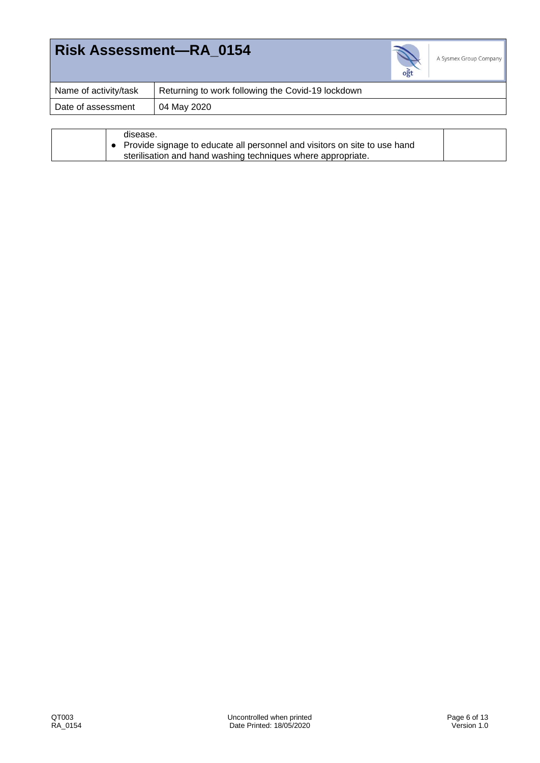

| Name of activity/task | Returning to work following the Covid-19 lockdown |
|-----------------------|---------------------------------------------------|
| Date of assessment    | 04 May 2020                                       |
|                       |                                                   |

| sterilisation and hand washing techniques where appropriate. |  |  | disease.<br>• Provide signage to educate all personnel and visitors on site to use hand |  |
|--------------------------------------------------------------|--|--|-----------------------------------------------------------------------------------------|--|
|--------------------------------------------------------------|--|--|-----------------------------------------------------------------------------------------|--|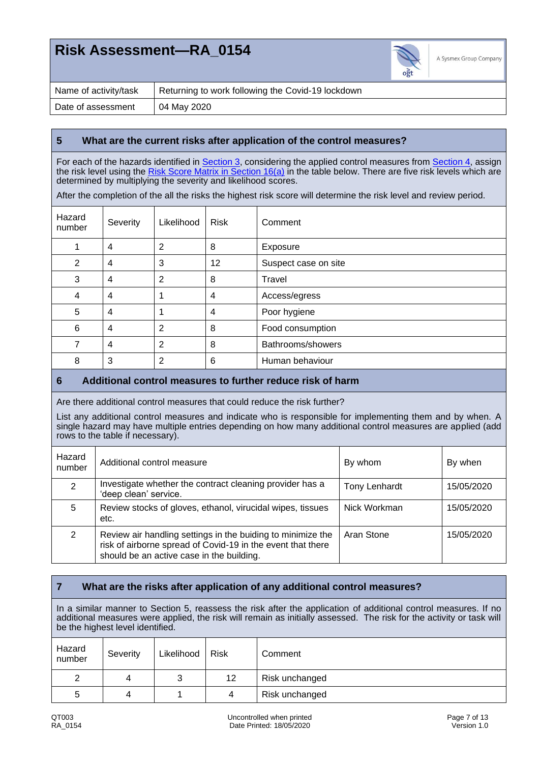

| Name of activity/task | Returning to work following the Covid-19 lockdown |
|-----------------------|---------------------------------------------------|
| Date of assessment    | 04 May 2020                                       |

#### **5 What are the current risks after application of the control measures?**

For each of the hazards identified in **Section 3**, considering the applied control measures from **Section 4**, assign the risk level using the [Risk Score Matrix in Section 16\(a\)](#page-11-0) in the table below. There are five risk levels which are determined by multiplying the severity and likelihood scores.

After the completion of the all the risks the highest risk score will determine the risk level and review period.

| Hazard<br>number | Severity       | Likelihood | <b>Risk</b> | Comment              |
|------------------|----------------|------------|-------------|----------------------|
|                  | 4              | 2          | 8           | Exposure             |
| 2                | $\overline{4}$ | 3          | 12          | Suspect case on site |
| 3                | $\overline{4}$ | 2          | 8           | Travel               |
| 4                | $\overline{4}$ | 4          | 4           | Access/egress        |
| 5                | $\overline{4}$ | и          | 4           | Poor hygiene         |
| 6                | $\overline{4}$ | 2          | 8           | Food consumption     |
| 7                | $\overline{4}$ | 2          | 8           | Bathrooms/showers    |
| 8                | 3              | 2          | 6           | Human behaviour      |

#### **6 Additional control measures to further reduce risk of harm**

Are there additional control measures that could reduce the risk further?

List any additional control measures and indicate who is responsible for implementing them and by when. A single hazard may have multiple entries depending on how many additional control measures are applied (add rows to the table if necessary).

| Hazard<br>number | Additional control measure                                                                                                                                              | By whom              | By when    |
|------------------|-------------------------------------------------------------------------------------------------------------------------------------------------------------------------|----------------------|------------|
| $\mathcal{P}$    | Investigate whether the contract cleaning provider has a<br>'deep clean' service.                                                                                       | <b>Tony Lenhardt</b> | 15/05/2020 |
| 5                | Review stocks of gloves, ethanol, virucidal wipes, tissues<br>etc.                                                                                                      | Nick Workman         | 15/05/2020 |
| 2                | Review air handling settings in the buiding to minimize the<br>risk of airborne spread of Covid-19 in the event that there<br>should be an active case in the building. | Aran Stone           | 15/05/2020 |

#### **7 What are the risks after application of any additional control measures?**

In a similar manner to Section 5, reassess the risk after the application of additional control measures. If no additional measures were applied, the risk will remain as initially assessed. The risk for the activity or task will be the highest level identified.

| Hazard<br>number | Severity | Likelihood | <b>Risk</b>     | Comment        |
|------------------|----------|------------|-----------------|----------------|
|                  | 4        | っ<br>ບ     | 12 <sub>2</sub> | Risk unchanged |
| b                | 4        |            | 4               | Risk unchanged |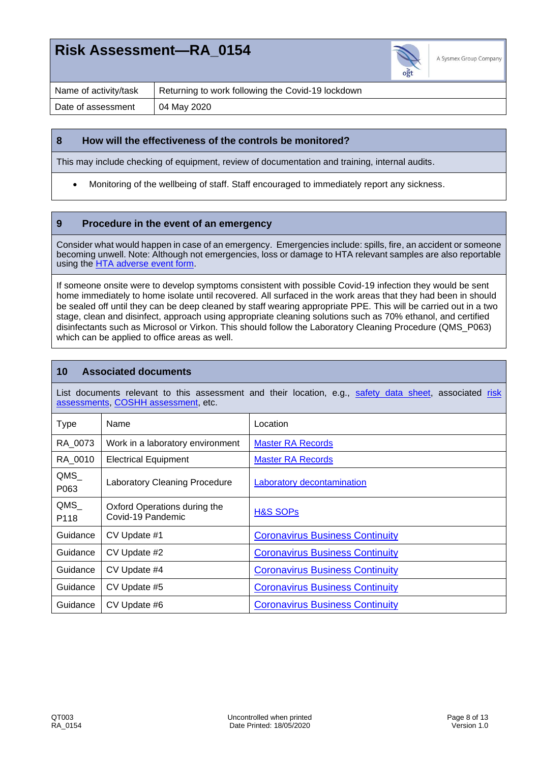

| Name of activity/task | Returning to work following the Covid-19 lockdown |
|-----------------------|---------------------------------------------------|
| Date of assessment    | 04 May 2020                                       |

#### **8 How will the effectiveness of the controls be monitored?**

This may include checking of equipment, review of documentation and training, internal audits.

• Monitoring of the wellbeing of staff. Staff encouraged to immediately report any sickness.

### **9 Procedure in the event of an emergency**

Consider what would happen in case of an emergency. Emergencies include: spills, fire, an accident or someone becoming unwell. Note: Although not emergencies, loss or damage to HTA relevant samples are also reportable using the [HTA adverse event form.](file://///internal.ogtip.com/ent/Data/General/Intranet/HTMS/Templates)

If someone onsite were to develop symptoms consistent with possible Covid-19 infection they would be sent home immediately to home isolate until recovered. All surfaced in the work areas that they had been in should be sealed off until they can be deep cleaned by staff wearing appropriate PPE. This will be carried out in a two stage, clean and disinfect, approach using appropriate cleaning solutions such as 70% ethanol, and certified disinfectants such as Microsol or Virkon. This should follow the Laboratory Cleaning Procedure (QMS\_P063) which can be applied to office areas as well.

### **10 Associated documents**

List documents relevant to this assessment and their location, e.g., [safety data sheet,](file://///internal.ogtip.com/ent/Data/General/Intranet/HSMS/MSDS/Master_MSDS_records) associated risk [assessments,](file://///internal.ogtip.com/ent/Data/General/Intranet/HSMS/Risk_Assessment/Master_RA_records) [COSHH assessment,](file://///internal.ogtip.com/ent/Data/General/Intranet/HSMS/COSHH/COSHH/Master_COSHH_records) etc.

| <b>Type</b> | Name                                              | Location                               |
|-------------|---------------------------------------------------|----------------------------------------|
| RA 0073     | Work in a laboratory environment                  | <b>Master RA Records</b>               |
| RA 0010     | <b>Electrical Equipment</b>                       | <b>Master RA Records</b>               |
| QMS<br>P063 | Laboratory Cleaning Procedure                     | Laboratory decontamination             |
| QMS<br>P118 | Oxford Operations during the<br>Covid-19 Pandemic | <b>H&amp;S SOPs</b>                    |
| Guidance    | CV Update #1                                      | <b>Coronavirus Business Continuity</b> |
| Guidance    | CV Update #2                                      | <b>Coronavirus Business Continuity</b> |
| Guidance    | CV Update #4                                      | <b>Coronavirus Business Continuity</b> |
| Guidance    | CV Update #5                                      | <b>Coronavirus Business Continuity</b> |
| Guidance    | CV Update #6                                      | <b>Coronavirus Business Continuity</b> |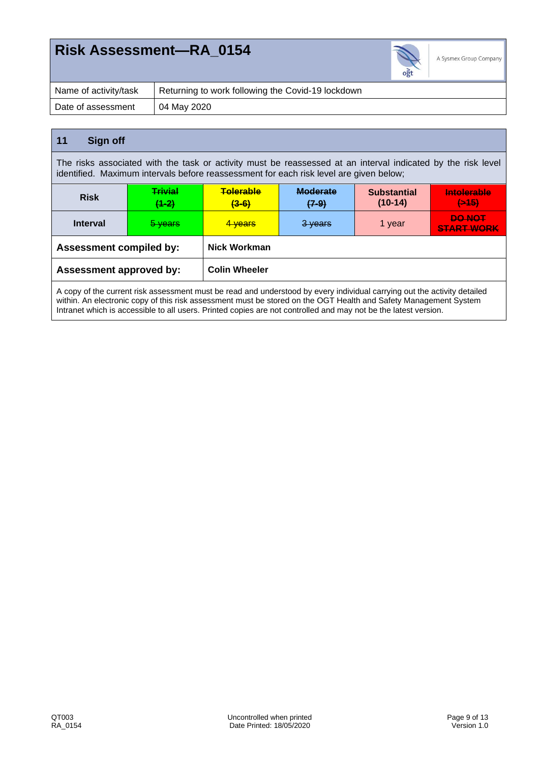

| Name of activity/task | Returning to work following the Covid-19 lockdown |
|-----------------------|---------------------------------------------------|
| Date of assessment    | 04 May 2020                                       |

### **11 Sign off**

The risks associated with the task or activity must be reassessed at an interval indicated by the risk level identified. Maximum intervals before reassessment for each risk level are given below;

| <b>Risk</b>                    | <b>Trivial</b><br>$(1-2)$ | <b>Telerable</b><br>$(3-6)$ | <b>Moderate</b><br>$(7-9)$ | <b>Substantial</b><br>$(10-14)$ | Intolerable<br>$(+45)$             |
|--------------------------------|---------------------------|-----------------------------|----------------------------|---------------------------------|------------------------------------|
| <b>Interval</b>                | 5 years                   | <del>4 years</del>          | 3 years                    | 1 year                          | <b>DO NOT</b><br><b>START WORK</b> |
| <b>Assessment compiled by:</b> |                           | Nick Workman                |                            |                                 |                                    |
| <b>Assessment approved by:</b> |                           | <b>Colin Wheeler</b>        |                            |                                 |                                    |

A copy of the current risk assessment must be read and understood by every individual carrying out the activity detailed within. An electronic copy of this risk assessment must be stored on the OGT Health and Safety Management System Intranet which is accessible to all users. Printed copies are not controlled and may not be the latest version.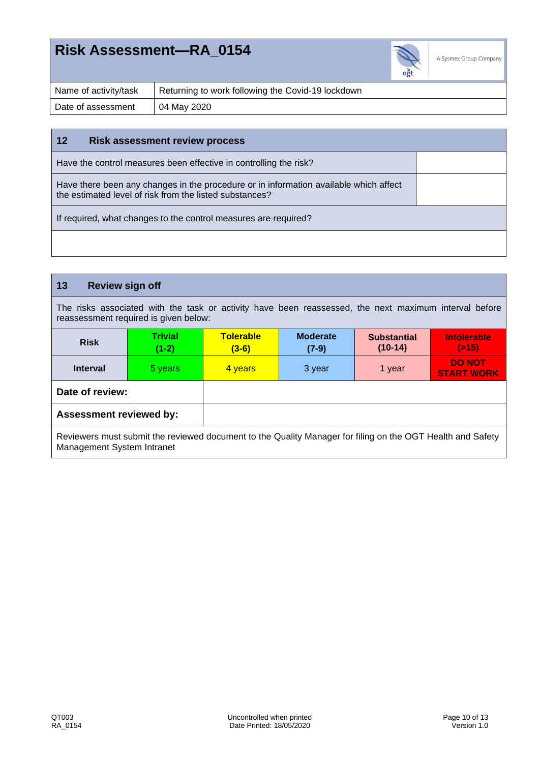

| Name of activity/task | Returning to work following the Covid-19 lockdown |
|-----------------------|---------------------------------------------------|
| Date of assessment    | 04 May 2020                                       |

#### **12 Risk assessment review process**

Have the control measures been effective in controlling the risk?

Have there been any changes in the procedure or in information available which affect the estimated level of risk from the listed substances?

If required, what changes to the control measures are required?

### **13 Review sign off**

The risks associated with the task or activity have been reassessed, the next maximum interval before reassessment required is given below:

| <b>Risk</b>                    | <b>Trivial</b><br>$(1-2)$ | <b>Tolerable</b><br>$(3-6)$ | <b>Moderate</b><br>$(7-9)$ | <b>Substantial</b><br>$(10-14)$ | <b>Intolerable</b><br>(215)        |
|--------------------------------|---------------------------|-----------------------------|----------------------------|---------------------------------|------------------------------------|
| <b>Interval</b>                | 5 years                   | 4 years                     | 3 year                     | 1 year                          | <b>DO NOT</b><br><b>START WORK</b> |
| Date of review:                |                           |                             |                            |                                 |                                    |
| <b>Assessment reviewed by:</b> |                           |                             |                            |                                 |                                    |

Reviewers must submit the reviewed document to the Quality Manager for filing on the OGT Health and Safety Management System Intranet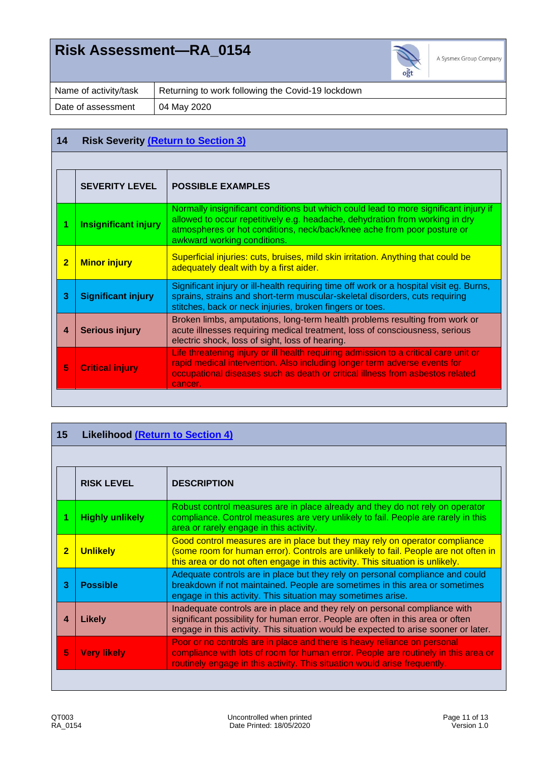

| Name of activity/task | Returning to work following the Covid-19 lockdown |
|-----------------------|---------------------------------------------------|
| Date of assessment    | 04 May 2020                                       |

### <span id="page-10-0"></span>**14 Risk Severity [\(Return to Section 3\)](#page-0-0)**

|                | <b>SEVERITY LEVEL</b>       | <b>POSSIBLE EXAMPLES</b>                                                                                                                                                                                                                                                       |
|----------------|-----------------------------|--------------------------------------------------------------------------------------------------------------------------------------------------------------------------------------------------------------------------------------------------------------------------------|
|                | <b>Insignificant injury</b> | Normally insignificant conditions but which could lead to more significant injury if<br>allowed to occur repetitively e.g. headache, dehydration from working in dry<br>atmospheres or hot conditions, neck/back/knee ache from poor posture or<br>awkward working conditions. |
| $\overline{2}$ | <b>Minor injury</b>         | Superficial injuries: cuts, bruises, mild skin irritation. Anything that could be<br>adequately dealt with by a first aider.                                                                                                                                                   |
| 3              | <b>Significant injury</b>   | Significant injury or ill-health requiring time off work or a hospital visit eg. Burns,<br>sprains, strains and short-term muscular-skeletal disorders, cuts requiring<br>stitches, back or neck injuries, broken fingers or toes.                                             |
| 4              | <b>Serious injury</b>       | Broken limbs, amputations, long-term health problems resulting from work or<br>acute illnesses requiring medical treatment, loss of consciousness, serious<br>electric shock, loss of sight, loss of hearing.                                                                  |
| 5              | <b>Critical injury</b>      | Life threatening injury or ill health requiring admission to a critical care unit or<br>rapid medical intervention. Also including longer term adverse events for<br>occupational diseases such as death or critical illness from asbestos related<br>cancer.                  |

<span id="page-10-1"></span>

| 15             | <b>Likelihood (Return to Section 4)</b> |                                                                                                                                                                                                                                                      |  |  |  |
|----------------|-----------------------------------------|------------------------------------------------------------------------------------------------------------------------------------------------------------------------------------------------------------------------------------------------------|--|--|--|
|                |                                         |                                                                                                                                                                                                                                                      |  |  |  |
|                | <b>RISK LEVEL</b>                       | <b>DESCRIPTION</b>                                                                                                                                                                                                                                   |  |  |  |
|                | <b>Highly unlikely</b>                  | Robust control measures are in place already and they do not rely on operator<br>compliance. Control measures are very unlikely to fail. People are rarely in this<br>area or rarely engage in this activity.                                        |  |  |  |
| $\overline{2}$ | <b>Unlikely</b>                         | Good control measures are in place but they may rely on operator compliance<br>(some room for human error). Controls are unlikely to fail. People are not often in<br>this area or do not often engage in this activity. This situation is unlikely. |  |  |  |
| 3              | <b>Possible</b>                         | Adequate controls are in place but they rely on personal compliance and could<br>breakdown if not maintained. People are sometimes in this area or sometimes<br>engage in this activity. This situation may sometimes arise.                         |  |  |  |
| 4              | <b>Likely</b>                           | Inadequate controls are in place and they rely on personal compliance with<br>significant possibility for human error. People are often in this area or often<br>engage in this activity. This situation would be expected to arise sooner or later. |  |  |  |
| 5              | <b>Very likely</b>                      | Poor or no controls are in place and there is heavy reliance on personal<br>compliance with lots of room for human error. People are routinely in this area or<br>routinely engage in this activity. This situation would arise frequently.          |  |  |  |
|                |                                         |                                                                                                                                                                                                                                                      |  |  |  |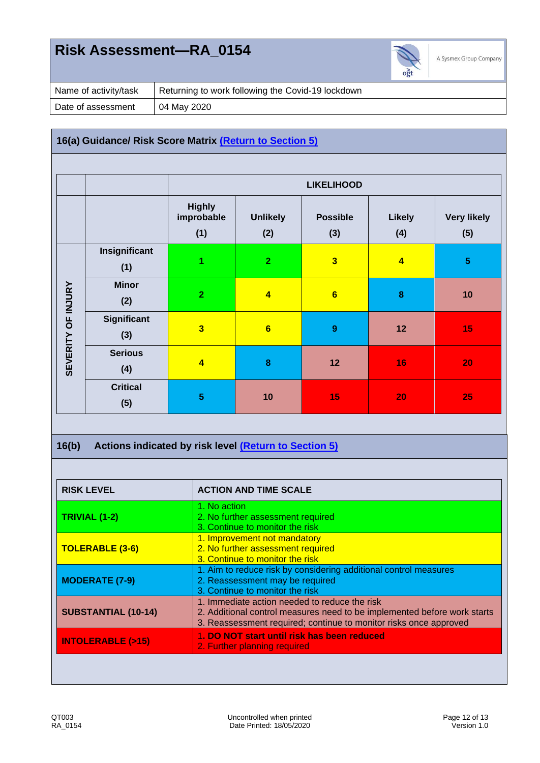

| Name of activity/task | Returning to work following the Covid-19 lockdown |
|-----------------------|---------------------------------------------------|
| Date of assessment    | 04 May 2020                                       |

### <span id="page-11-0"></span>**16(a) Guidance/ Risk Score Matrix (Return to Section 5)**

|                    |                        | <b>LIKELIHOOD</b>                  |                         |                         |                      |                           |
|--------------------|------------------------|------------------------------------|-------------------------|-------------------------|----------------------|---------------------------|
|                    |                        | <b>Highly</b><br>improbable<br>(1) | <b>Unlikely</b><br>(2)  | <b>Possible</b><br>(3)  | <b>Likely</b><br>(4) | <b>Very likely</b><br>(5) |
|                    | Insignificant<br>(1)   | 1                                  | $\overline{2}$          | $\overline{\mathbf{3}}$ | $\overline{4}$       | $\overline{5}$            |
|                    | <b>Minor</b><br>(2)    | $\overline{2}$                     | $\overline{\mathbf{4}}$ | 6                       | $\bf{8}$             | 10                        |
| SEVERITY OF INJURY | Significant<br>(3)     | $\overline{\mathbf{3}}$            | $6\phantom{a}$          | $\boldsymbol{9}$        | 12                   | 15                        |
|                    | <b>Serious</b><br>(4)  | $\overline{\mathbf{4}}$            | 8                       | 12                      | 16                   | 20                        |
|                    | <b>Critical</b><br>(5) | $\overline{\mathbf{5}}$            | 10                      | 15                      | 20                   | 25                        |

### **16(b) Actions indicated by risk level (Return to Section 5)**

| <b>RISK LEVEL</b>           | <b>ACTION AND TIME SCALE</b>                                                                                                                                                                   |  |  |  |
|-----------------------------|------------------------------------------------------------------------------------------------------------------------------------------------------------------------------------------------|--|--|--|
| TRIVIAL (1-2)               | 1. No action<br>2. No further assessment required<br>3. Continue to monitor the risk                                                                                                           |  |  |  |
| <b>TOLERABLE (3-6)</b>      | 1. Improvement not mandatory<br>2. No further assessment required<br>3. Continue to monitor the risk                                                                                           |  |  |  |
| <b>MODERATE (7-9)</b>       | 1. Aim to reduce risk by considering additional control measures<br>2. Reassessment may be required<br>3. Continue to monitor the risk                                                         |  |  |  |
| <b>SUBSTANTIAL (10-14)</b>  | 1. Immediate action needed to reduce the risk<br>2. Additional control measures need to be implemented before work starts<br>3. Reassessment required; continue to monitor risks once approved |  |  |  |
| <b>INTOLERABLE (&gt;15)</b> | 1. DO NOT start until risk has been reduced<br>2. Further planning required                                                                                                                    |  |  |  |